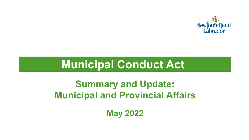

1

# **Municipal Conduct Act**

#### **Summary and Update: Municipal and Provincial Affairs**

**May 2022**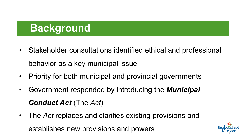## **Background**

- Stakeholder consultations identified ethical and professional behavior as a key municipal issue
- Priority for both municipal and provincial governments
- Government responded by introducing the *Municipal Conduct Act* (The *Act*)
- The *Act* replaces and clarifies existing provisions and establishes new provisions and powers

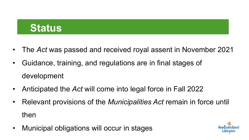## **Status**

- The *Act* was passed and received royal assent in November 2021
- Guidance, training, and regulations are in final stages of development
- Anticipated the *Act* will come into legal force in Fall 2022
- Relevant provisions of the *Municipalities Act* remain in force until then
- Municipal obligations will occur in stages

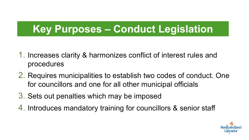## **Key Purposes – Conduct Legislation**

- 1. Increases clarity & harmonizes conflict of interest rules and procedures
- 2. Requires municipalities to establish two codes of conduct. One for councillors and one for all other municipal officials
- 3. Sets out penalties which may be imposed
- 4. Introduces mandatory training for councillors & senior staff

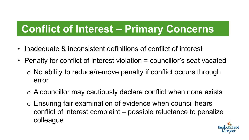# **Conflict of Interest – Primary Concerns**

- Inadequate & inconsistent definitions of conflict of interest
- Penalty for conflict of interest violation = councillor's seat vacated
	- o No ability to reduce/remove penalty if conflict occurs through error
	- o A councillor may cautiously declare conflict when none exists
	- o Ensuring fair examination of evidence when council hears conflict of interest complaint – possible reluctance to penalize colleague

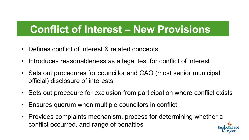#### **Conflict of Interest – New Provisions**

- Defines conflict of interest & related concepts
- Introduces reasonableness as a legal test for conflict of interest
- Sets out procedures for councillor and CAO (most senior municipal official) disclosure of interests
- Sets out procedure for exclusion from participation where conflict exists
- Ensures quorum when multiple councilors in conflict
- Provides complaints mechanism, process for determining whether a conflict occurred, and range of penalties

6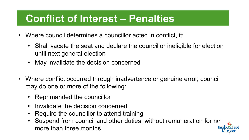## **Conflict of Interest – Penalties**

- Where council determines a councillor acted in conflict, it:
	- Shall vacate the seat and declare the councillor ineligible for election until next general election
	- May invalidate the decision concerned
- Where conflict occurred through inadvertence or genuine error, council may do one or more of the following:
	- Reprimanded the councillor
	- Invalidate the decision concerned
	- Require the councillor to attend training
	- Suspend from council and other duties, without remuneration for no more than three months

7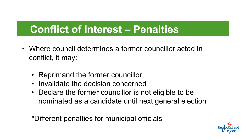#### **Conflict of Interest – Penalties**

- Where council determines a former councillor acted in conflict, it may:
	- Reprimand the former councillor
	- Invalidate the decision concerned
	- Declare the former councillor is not eligible to be nominated as a candidate until next general election

\*Different penalties for municipal officials

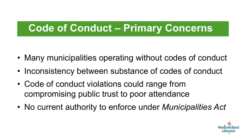#### **Code of Conduct – Primary Concerns**

- Many municipalities operating without codes of conduct
- Inconsistency between substance of codes of conduct
- Code of conduct violations could range from compromising public trust to poor attendance
- No current authority to enforce under *Municipalities Act*

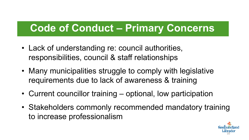#### **Code of Conduct – Primary Concerns**

- Lack of understanding re: council authorities, responsibilities, council & staff relationships
- Many municipalities struggle to comply with legislative requirements due to lack of awareness & training
- Current councillor training optional, low participation
- Stakeholders commonly recommended mandatory training to increase professionalism

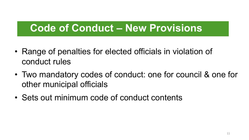#### **Code of Conduct – New Provisions**

- Range of penalties for elected officials in violation of conduct rules
- Two mandatory codes of conduct: one for council & one for other municipal officials
- Sets out minimum code of conduct contents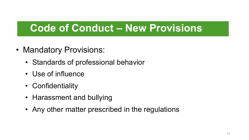#### **Code of Conduct – New Provisions**

- Mandatory Provisions:
	- Standards of professional behavior
	- Use of influence
	- Confidentiality
	- Harassment and bullying
	- Any other matter prescribed in the regulations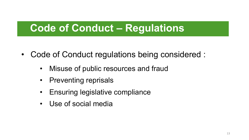## **Code of Conduct – Regulations**

- Code of Conduct regulations being considered :
	- Misuse of public resources and fraud
	- Preventing reprisals
	- Ensuring legislative compliance
	- Use of social media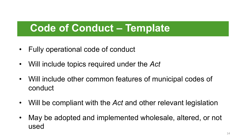#### **Code of Conduct – Template**

- Fully operational code of conduct
- Will include topics required under the *Act*
- Will include other common features of municipal codes of conduct
- Will be compliant with the *Act* and other relevant legislation
- May be adopted and implemented wholesale, altered, or not used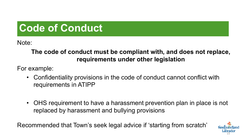# **Code of Conduct**

Note:

#### **The code of conduct must be compliant with, and does not replace, requirements under other legislation**

For example:

- Confidentiality provisions in the code of conduct cannot conflict with requirements in ATIPP
- OHS requirement to have a harassment prevention plan in place is not replaced by harassment and bullying provisions

Recommended that Town's seek legal advice if 'starting from scratch'

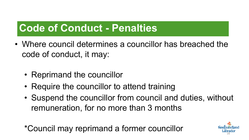# **Code of Conduct - Penalties**

- Where council determines a councillor has breached the code of conduct, it may:
	- Reprimand the councillor
	- Require the councillor to attend training
	- Suspend the councillor from council and duties, without remuneration, for no more than 3 months

\*Council may reprimand a former councillor 16

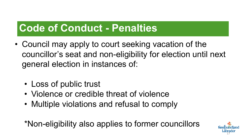# **Code of Conduct - Penalties**

- Council may apply to court seeking vacation of the councillor's seat and non-eligibility for election until next general election in instances of:
	- Loss of public trust
	- Violence or credible threat of violence
	- Multiple violations and refusal to comply

\*Non-eligibility also applies to former councillors

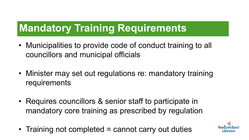# **Mandatory Training Requirements**

- Municipalities to provide code of conduct training to all councillors and municipal officials
- Minister may set out regulations re: mandatory training requirements
- Requires councillors & senior staff to participate in mandatory core training as prescribed by regulation
- Training not completed = cannot carry out duties

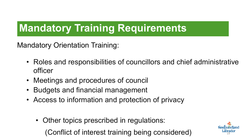# **Mandatory Training Requirements**

Mandatory Orientation Training:

- Roles and responsibilities of councillors and chief administrative officer
- Meetings and procedures of council
- Budgets and financial management
- Access to information and protection of privacy
	- Other topics prescribed in regulations: (Conflict of interest training being considered)

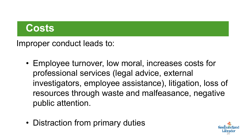#### **Costs**

Improper conduct leads to:

- Employee turnover, low moral, increases costs for professional services (legal advice, external investigators, employee assistance), litigation, loss of resources through waste and malfeasance, negative public attention.
- Distraction from primary duties

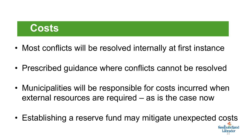#### **Costs**

- Most conflicts will be resolved internally at first instance
- Prescribed guidance where conflicts cannot be resolved
- Municipalities will be responsible for costs incurred when external resources are required – as is the case now
- Establishing a reserve fund may mitigate unexpected costs Newfoundland

21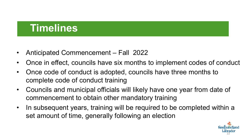## **Timelines**

- Anticipated Commencement Fall 2022
- Once in effect, councils have six months to implement codes of conduct
- Once code of conduct is adopted, councils have three months to complete code of conduct training
- Councils and municipal officials will likely have one year from date of commencement to obtain other mandatory training
- In subsequent years, training will be required to be completed within a set amount of time, generally following an election